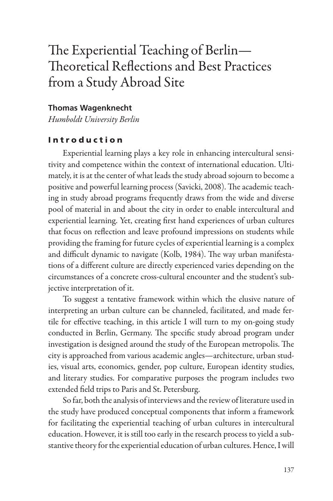# The Experiential Teaching of Berlin— Theoretical Reflections and Best Practices from a Study Abroad Site

#### **Thomas Wagenknecht**

*Humboldt University Berlin*

#### Introduction

Experiential learning plays a key role in enhancing intercultural sensitivity and competence within the context of international education. Ultimately, it is at the center of what leads the study abroad sojourn to become a positive and powerful learning process (Savicki, 2008). The academic teach ing in study abroad programs frequently draws from the wide and diverse pool of material in and about the city in order to enable intercultural and experiential learning. Yet, creating first hand experiences of urban cultures that focus on reflection and leave profound impressions on students while providing the framing for future cycles of experiential learning is a complex and difficult dynamic to navigate (Kolb, 1984). The way urban manifestations of a different culture are directly experienced varies depending on the circumstances of a concrete cross-cultural encounter and the student's subjective interpretation of it.

To suggest a tentative framework within which the elusive nature of interpreting an urban culture can be channeled, facilitated, and made fertile for effective teaching, in this article I will turn to my on-going study conducted in Berlin, Germany. The specific study abroad program under investigation is designed around the study of the European metropolis. The city is approached from various academic angles—architecture, urban stud ies, visual arts, economics, gender, pop culture, European identity studies, and literary studies. For comparative purposes the program includes two extended field trips to Paris and St. Petersburg.

So far, both the analysis of interviews and the review of literature used in the study have produced conceptual components that inform a framework for facilitating the experiential teaching of urban cultures in intercultural education. However, it is still too early in the research process to yield a substantive theory for the experiential education of urban cultures. Hence, I will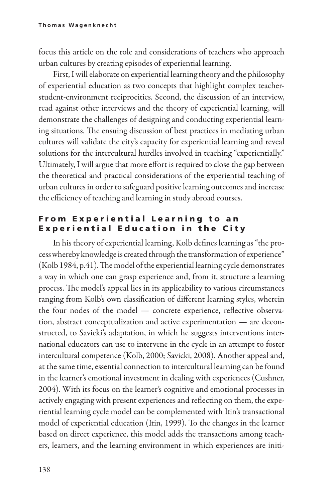focus this article on the role and considerations of teachers who approach urban cultures by creating episodes of experiential learning.

First, I will elaborate on experiential learning theory and the philosophy of experiential education as two concepts that highlight complex teacherstudent-environment reciprocities. Second, the discussion of an interview, read against other interviews and the theory of experiential learning, will demonstrate the challenges of designing and conducting experiential learn ing situations. The ensuing discussion of best practices in mediating urban cultures will validate the city's capacity for experiential learning and reveal solutions for the intercultural hurdles involved in teaching "experientially." Ultimately, I will argue that more effort is required to close the gap between the theoretical and practical considerations of the experiential teaching of urban cultures in order to safeguard positive learning outcomes and increase the efficiency of teaching and learning in study abroad courses.

#### From Experiential Learning to an **Experiential Education in the City**

In his theory of experiential learning, Kolb defines learning as "the process whereby knowledge is created through the transformation of experience" (Kolb 1984, p.41). The model of the experiential learning cycle demonstrates a way in which one can grasp experience and, from it, structure a learning process. The model's appeal lies in its applicability to various circumstances ranging from Kolb's own classification of different learning styles, wherein the four nodes of the model — concrete experience, reflective observation, abstract conceptualization and active experimentation — are deconstructed, to Savicki's adaptation, in which he suggests interventions international educators can use to intervene in the cycle in an attempt to foster intercultural competence (Kolb, 2000; Savicki, 2008). Another appeal and, at the same time, essential connection to intercultural learning can be found in the learner's emotional investment in dealing with experiences (Cushner, 2004). With its focus on the learner's cognitive and emotional processes in actively engaging with present experiences and reflecting on them, the experiential learning cycle model can be complemented with Itin's transactional model of experiential education (Itin, 1999). To the changes in the learner based on direct experience, this model adds the transactions among teachers, learners, and the learning environment in which experiences are initi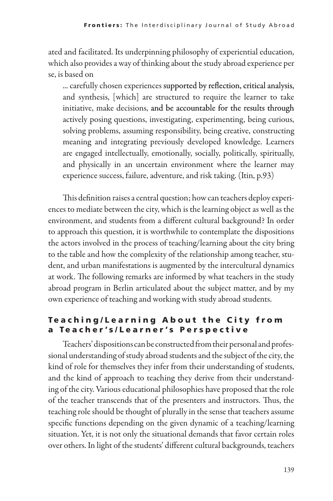ated and facilitated. Its underpinning philosophy of experiential education, which also provides a way of thinking about the study abroad experience per se, is based on

... carefully chosen experiences supported by reflection, critical analysis, and synthesis, [which] are structured to require the learner to take initiative, make decisions, and be accountable for the results through actively posing questions, investigating, experimenting, being curious, solving problems, assuming responsibility, being creative, constructing meaning and integrating previously developed knowledge. Learners are engaged intellectually, emotionally, socially, politically, spiritually, and physically in an uncertain environment where the learner may experience success, failure, adventure, and risk taking. (Itin, p.93)

This definition raises a central question; how can teachers deploy experiences to mediate between the city, which is the learning object as well as the environment, and students from a different cultural background? In order to approach this question, it is worthwhile to contemplate the dispositions the actors involved in the process of teaching/learning about the city bring to the table and how the complexity of the relationship among teacher, student, and urban manifestations is augmented by the intercultural dynamics at work. The following remarks are informed by what teachers in the study abroad program in Berlin articulated about the subject matter, and by my own experience of teaching and working with study abroad students.

## Teaching/Learning About the City from a Teacher's/Learner's Perspective

Teachers' dispositions can be constructed from their personal and professional understanding of study abroad students and the subject of the city, the kind of role for themselves they infer from their understanding of students, and the kind of approach to teaching they derive from their understand ing of the city. Various educational philosophies have proposed that the role of the teacher transcends that of the presenters and instructors. Thus, the teaching role should be thought of plurally in the sense that teachers assume specific functions depending on the given dynamic of a teaching/learning situation. Yet, it is not only the situational demands that favor certain roles over others. In light of the students' different cultural backgrounds, teachers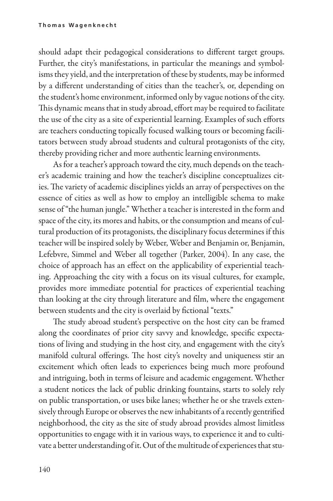should adapt their pedagogical considerations to different target groups. Further, the city's manifestations, in particular the meanings and symbol isms they yield, and the interpretation of these by students, may be informed by a different understanding of cities than the teacher's, or, depending on the student's home environment, informed only by vague notions of the city. This dynamic means that in study abroad, effort may be required to facilitate the use of the city as a site of experiential learning. Examples of such efforts are teachers conducting topically focused walking tours or becoming facilitators between study abroad students and cultural protagonists of the city, thereby providing richer and more authentic learning environments.

As for a teacher's approach toward the city, much depends on the teacher's academic training and how the teacher's discipline conceptualizes cit ies. The variety of academic disciplines yields an array of perspectives on the essence of cities as well as how to employ an intelligible schema to make sense of "the human jungle." Whether a teacher is interested in the form and space of the city, its mores and habits, or the consumption and means of cultural production of its protagonists, the disciplinary focus determines if this teacher will be inspired solely by Weber, Weber and Benjamin or, Benjamin, Lefebvre, Simmel and Weber all together (Parker, 2004). In any case, the choice of approach has an effect on the applicability of experiential teach ing. Approaching the city with a focus on its visual cultures, for example, provides more immediate potential for practices of experiential teaching than looking at the city through literature and film, where the engagement between students and the city is overlaid by fictional "texts."

The study abroad student's perspective on the host city can be framed along the coordinates of prior city savvy and knowledge, specific expectations of living and studying in the host city, and engagement with the city's manifold cultural offerings. The host city's novelty and uniqueness stir an excitement which often leads to experiences being much more profound and intriguing, both in terms of leisure and academic engagement. Whether a student notices the lack of public drinking fountains, starts to solely rely on public transportation, or uses bike lanes; whether he or she travels extensively through Europe or observes the new inhabitants of a recently gentrified neighborhood, the city as the site of study abroad provides almost limitless opportunities to engage with it in various ways, to experience it and to cultivate a better understanding of it. Out of the multitude of experiences that stu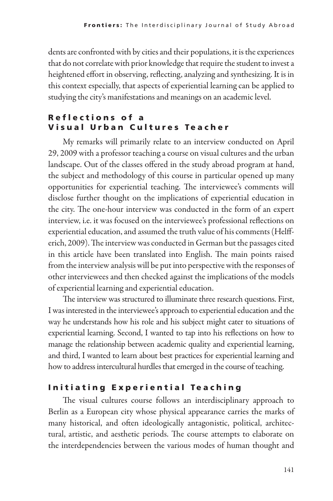dents are confronted with by cities and their populations, it is the experiences that do not correlate with prior knowledge that require the student to invest a heightened effort in observing, reflecting, analyzing and synthesizing. It is in this context especially, that aspects of experiential learning can be applied to studying the city's manifestations and meanings on an academic level.

## Reflections of a Visual Urban Cultures Teacher

My remarks will primarily relate to an interview conducted on April 29, 2009 with a professor teaching a course on visual cultures and the urban landscape. Out of the classes offered in the study abroad program at hand, the subject and methodology of this course in particular opened up many opportunities for experiential teaching. The interviewee's comments will disclose further thought on the implications of experiential education in the city. The one-hour interview was conducted in the form of an expert interview, i.e. it was focused on the interviewee's professional reflections on experiential education, and assumed the truth value of his comments (Helfferich, 2009). The interview was conducted in German but the passages cited in this article have been translated into English. The main points raised from the interview analysis will be put into perspective with the responses of other interviewees and then checked against the implications of the models of experiential learning and experiential education.

The interview was structured to illuminate three research questions. First, I was interested in the interviewee's approach to experiential education and the way he understands how his role and his subject might cater to situations of experiential learning. Second, I wanted to tap into his reflections on how to manage the relationship between academic quality and experiential learning, and third, I wanted to learn about best practices for experiential learning and how to address intercultural hurdles that emerged in the course of teaching.

# Initiating Experiential Teaching

The visual cultures course follows an interdisciplinary approach to Berlin as a European city whose physical appearance carries the marks of many historical, and often ideologically antagonistic, political, architectural, artistic, and aesthetic periods. The course attempts to elaborate on the interdependencies between the various modes of human thought and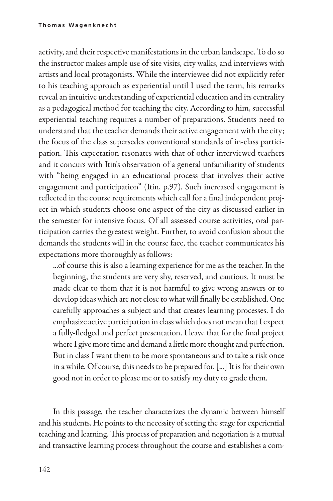activity, and their respective manifestations in the urban landscape. To do so the instructor makes ample use of site visits, city walks, and interviews with artists and local protagonists. While the interviewee did not explicitly refer to his teaching approach as experiential until I used the term, his remarks reveal an intuitive understanding of experiential education and its centrality as a pedagogical method for teaching the city. According to him, successful experiential teaching requires a number of preparations. Students need to understand that the teacher demands their active engagement with the city; the focus of the class supersedes conventional standards of in-class participation. This expectation resonates with that of other interviewed teachers and it concurs with Itin's observation of a general unfamiliarity of students with "being engaged in an educational process that involves their active engagement and participation" (Itin, p.97). Such increased engagement is reflected in the course requirements which call for a final independent project in which students choose one aspect of the city as discussed earlier in the semester for intensive focus. Of all assessed course activities, oral participation carries the greatest weight. Further, to avoid confusion about the demands the students will in the course face, the teacher communicates his expectations more thoroughly as follows:

...of course this is also a learning experience for me as the teacher. In the beginning, the students are very shy, reserved, and cautious. It must be made clear to them that it is not harmful to give wrong answers or to develop ideas which are not close to what will finally be established. One carefully approaches a subject and that creates learning processes. I do emphasize active participation in class which does not mean that I expect a fully-fledged and perfect presentation. I leave that for the final project where I give more time and demand a little more thought and perfection. But in class I want them to be more spontaneous and to take a risk once in a while. Of course, this needs to be prepared for. [...] It is for their own good not in order to please me or to satisfy my duty to grade them.

In this passage, the teacher characterizes the dynamic between himself and his students. He points to the necessity of setting the stage for experiential teaching and learning. This process of preparation and negotiation is a mutual and transactive learning process throughout the course and establishes a com-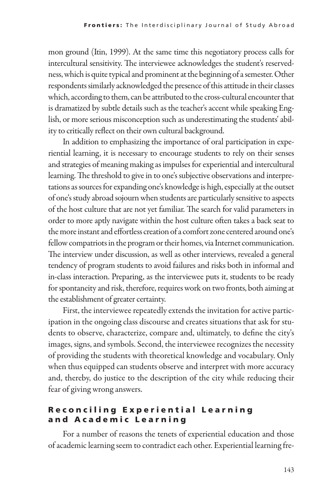mon ground (Itin, 1999). At the same time this negotiatory process calls for intercultural sensitivity. The interviewee acknowledges the student's reservedness, which is quite typical and prominent at the beginning of a semester. Other respondents similarly acknowledged the presence of this attitude in their classes which, according to them, can be attributed to the cross-cultural encounter that is dramatized by subtle details such as the teacher's accent while speaking English, or more serious misconception such as underestimating the students' abil ity to critically reflect on their own cultural background.

In addition to emphasizing the importance of oral participation in experiential learning, it is necessary to encourage students to rely on their senses and strategies of meaning making as impulses for experiential and intercultural learning. The threshold to give in to one's subjective observations and interpretations as sources for expanding one's knowledge is high, especially at the outset of one's study abroad sojourn when students are particularly sensitive to aspects of the host culture that are not yet familiar. The search for valid parameters in order to more aptly navigate within the host culture often takes a back seat to the more instant and effortless creation of a comfort zone centered around one's fellow compatriots in the program or their homes, via Internet communication. The interview under discussion, as well as other interviews, revealed a general tendency of program students to avoid failures and risks both in informal and in-class interaction. Preparing, as the interviewee puts it, students to be ready for spontaneity and risk, therefore, requires work on two fronts, both aiming at the establishment of greater certainty.

First, the interviewee repeatedly extends the invitation for active partic ipation in the ongoing class discourse and creates situations that ask for students to observe, characterize, compare and, ultimately, to define the city's images, signs, and symbols. Second, the interviewee recognizes the necessity of providing the students with theoretical knowledge and vocabulary. Only when thus equipped can students observe and interpret with more accuracy and, thereby, do justice to the description of the city while reducing their fear of giving wrong answers.

## Reconciling Experiential Learning and Academic Learning

For a number of reasons the tenets of experiential education and those of academic learning seem to contradict each other. Experiential learning fre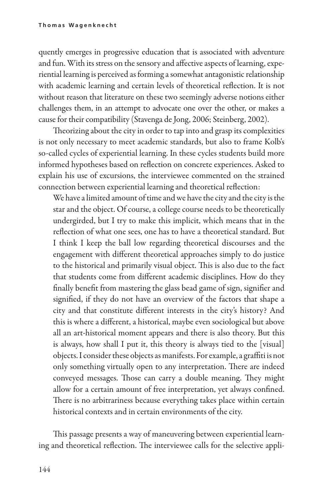quently emerges in progressive education that is associated with adventure and fun. With its stress on the sensory and affective aspects of learning, experiential learning is perceived as forming a somewhat antagonistic relationship with academic learning and certain levels of theoretical reflection. It is not without reason that literature on these two seemingly adverse notions either challenges them, in an attempt to advocate one over the other, or makes a cause for their compatibility (Stavenga de Jong, 2006; Steinberg, 2002).

Theorizing about the city in order to tap into and grasp its complexities is not only necessary to meet academic standards, but also to frame Kolb's so-called cycles of experiential learning. In these cycles students build more informed hypotheses based on reflection on concrete experiences. Asked to explain his use of excursions, the interviewee commented on the strained connection between experiential learning and theoretical reflection:

We have a limited amount of time and we have the city and the city is the star and the object. Of course, a college course needs to be theoretically undergirded, but I try to make this implicit, which means that in the reflection of what one sees, one has to have a theoretical standard. But I think I keep the ball low regarding theoretical discourses and the engagement with different theoretical approaches simply to do justice to the historical and primarily visual object. This is also due to the fact that students come from different academic disciplines. How do they finally benefit from mastering the glass bead game of sign, signifier and signified, if they do not have an overview of the factors that shape a city and that constitute different interests in the city's history? And this is where a different, a historical, maybe even sociological but above all an art-historical moment appears and there is also theory. But this is always, how shall I put it, this theory is always tied to the [visual] objects. I consider these objects as manifests. For example, a graffiti is not only something virtually open to any interpretation. There are indeed conveyed messages. Those can carry a double meaning. They might allow for a certain amount of free interpretation, yet always confined. There is no arbitrariness because everything takes place within certain historical contexts and in certain environments of the city.

This passage presents a way of maneuvering between experiential learn ing and theoretical reflection. The interviewee calls for the selective appli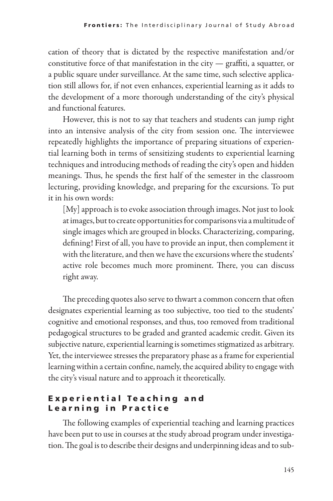cation of theory that is dictated by the respective manifestation and/or constitutive force of that manifestation in the city — graffiti, a squatter, or a public square under surveillance. At the same time, such selective application still allows for, if not even enhances, experiential learning as it adds to the development of a more thorough understanding of the city's physical and functional features.

However, this is not to say that teachers and students can jump right into an intensive analysis of the city from session one. The interviewee repeatedly highlights the importance of preparing situations of experiential learning both in terms of sensitizing students to experiential learning techniques and introducing methods of reading the city's open and hidden meanings. Thus, he spends the first half of the semester in the classroom lecturing, providing knowledge, and preparing for the excursions. To put it in his own words:

[My] approach is to evoke association through images. Not just to look at images, but to create opportunities for comparisons via a multitude of single images which are grouped in blocks. Characterizing, comparing, defining! First of all, you have to provide an input, then complement it with the literature, and then we have the excursions where the students' active role becomes much more prominent. There, you can discuss right away.

The preceding quotes also serve to thwart a common concern that often designates experiential learning as too subjective, too tied to the students' cognitive and emotional responses, and thus, too removed from traditional pedagogical structures to be graded and granted academic credit. Given its subjective nature, experiential learning is sometimes stigmatized as arbitrary. Yet, the interviewee stresses the preparatory phase as a frame for experiential learning within a certain confine, namely, the acquired ability to engage with the city's visual nature and to approach it theoretically.

## Experiential Teaching and Learning in Practice

The following examples of experiential teaching and learning practices have been put to use in courses at the study abroad program under investigation. The goal is to describe their designs and underpinning ideas and to sub-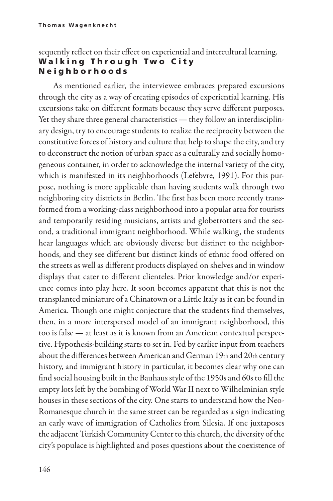### sequently reflect on their effect on experiential and intercultural learning. **Walking Through Two City** N e i g h b o r h o o d s

As mentioned earlier, the interviewee embraces prepared excursions through the city as a way of creating episodes of experiential learning. His excursions take on different formats because they serve different purposes. Yet they share three general characteristics - they follow an interdisciplinary design, try to encourage students to realize the reciprocity between the constitutive forces of history and culture that help to shape the city, and try to deconstruct the notion of urban space as a culturally and socially homogeneous container, in order to acknowledge the internal variety of the city, which is manifested in its neighborhoods (Lefebvre, 1991). For this purpose, nothing is more applicable than having students walk through two neighboring city districts in Berlin. The first has been more recently transformed from a working-class neighborhood into a popular area for tourists and temporarily residing musicians, artists and globetrotters and the second, a traditional immigrant neighborhood. While walking, the students hear languages which are obviously diverse but distinct to the neighborhoods, and they see different but distinct kinds of ethnic food offered on the streets as well as different products displayed on shelves and in window displays that cater to different clienteles. Prior knowledge and/or experience comes into play here. It soon becomes apparent that this is not the transplanted miniature of a Chinatown or a Little Italy as it can be found in America. Though one might conjecture that the students find themselves, then, in a more interspersed model of an immigrant neighborhood, this too is false — at least as it is known from an American contextual perspective. Hypothesis-building starts to set in. Fed by earlier input from teachers about the differences between American and German 19th and 20th century history, and immigrant history in particular, it becomes clear why one can find social housing built in the Bauhaus style of the 1950s and 60s to fill the empty lots left by the bombing of World War II next to Wilhelminian style houses in these sections of the city. One starts to understand how the Neo-Romanesque church in the same street can be regarded as a sign indicating an early wave of immigration of Catholics from Silesia. If one juxtaposes the adjacent Turkish Community Center to this church, the diversity of the city's populace is highlighted and poses questions about the coexistence of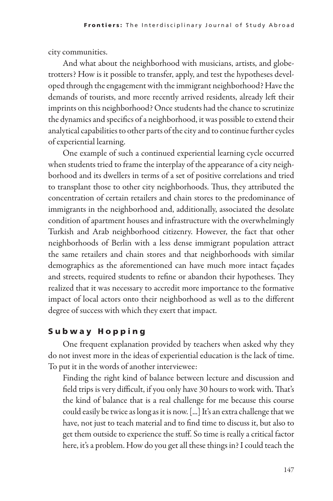city communities.

And what about the neighborhood with musicians, artists, and globetrotters? How is it possible to transfer, apply, and test the hypotheses developed through the engagement with the immigrant neighborhood? Have the demands of tourists, and more recently arrived residents, already left their imprints on this neighborhood? Once students had the chance to scrutinize the dynamics and specifics of a neighborhood, it was possible to extend their analytical capabilities to other parts of the city and to continue further cycles of experiential learning.

One example of such a continued experiential learning cycle occurred when students tried to frame the interplay of the appearance of a city neighborhood and its dwellers in terms of a set of positive correlations and tried to transplant those to other city neighborhoods. Thus, they attributed the concentration of certain retailers and chain stores to the predominance of immigrants in the neighborhood and, additionally, associated the desolate condition of apartment houses and infrastructure with the overwhelmingly Turkish and Arab neighborhood citizenry. However, the fact that other neighborhoods of Berlin with a less dense immigrant population attract the same retailers and chain stores and that neighborhoods with similar demographics as the aforementioned can have much more intact façades and streets, required students to refine or abandon their hypotheses. They realized that it was necessary to accredit more importance to the formative impact of local actors onto their neighborhood as well as to the different degree of success with which they exert that impact.

# S u b w a y H o p p i n g

One frequent explanation provided by teachers when asked why they do not invest more in the ideas of experiential education is the lack of time. To put it in the words of another interviewee:

Finding the right kind of balance between lecture and discussion and field trips is very difficult, if you only have 30 hours to work with. That's the kind of balance that is a real challenge for me because this course could easily be twice as long as it is now. [...] It's an extra challenge that we have, not just to teach material and to find time to discuss it, but also to get them outside to experience the stuff. So time is really a critical factor here, it's a problem. How do you get all these things in? I could teach the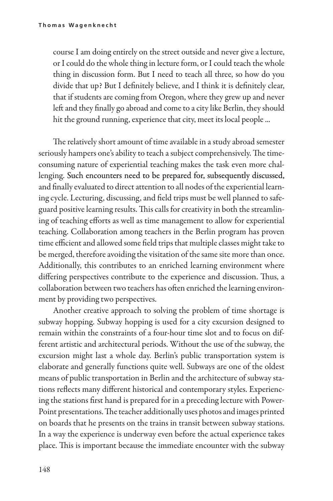course I am doing entirely on the street outside and never give a lecture, or I could do the whole thing in lecture form, or I could teach the whole thing in discussion form. But I need to teach all three, so how do you divide that up? But I definitely believe, and I think it is definitely clear, that if students are coming from Oregon, where they grew up and never left and they finally go abroad and come to a city like Berlin, they should hit the ground running, experience that city, meet its local people ...

The relatively short amount of time available in a study abroad semester seriously hampers one's ability to teach a subject comprehensively. The timeconsuming nature of experiential teaching makes the task even more challenging. Such encounters need to be prepared for, subsequently discussed, and finally evaluated to direct attention to all nodes of the experiential learn ing cycle. Lecturing, discussing, and field trips must be well planned to safeguard positive learning results. This calls for creativity in both the streamlin ing of teaching efforts as well as time management to allow for experiential teaching. Collaboration among teachers in the Berlin program has proven time efficient and allowed some field trips that multiple classes might take to be merged, therefore avoiding the visitation of the same site more than once. Additionally, this contributes to an enriched learning environment where differing perspectives contribute to the experience and discussion. Thus, a collaboration between two teachers has often enriched the learning environment by providing two perspectives.

Another creative approach to solving the problem of time shortage is subway hopping. Subway hopping is used for a city excursion designed to remain within the constraints of a four-hour time slot and to focus on different artistic and architectural periods. Without the use of the subway, the excursion might last a whole day. Berlin's public transportation system is elaborate and generally functions quite well. Subways are one of the oldest means of public transportation in Berlin and the architecture of subway stations reflects many different historical and contemporary styles. Experienc ing the stations first hand is prepared for in a preceding lecture with Power-Point presentations. The teacher additionally uses photos and images printed on boards that he presents on the trains in transit between subway stations. In a way the experience is underway even before the actual experience takes place. This is important because the immediate encounter with the subway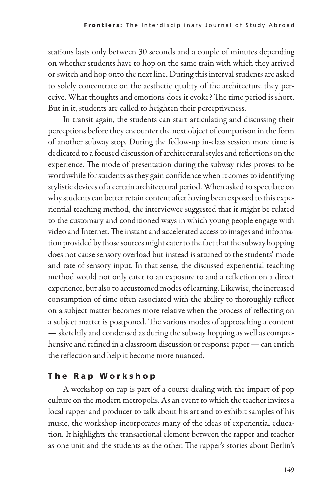stations lasts only between 30 seconds and a couple of minutes depending on whether students have to hop on the same train with which they arrived or switch and hop onto the next line. During this interval students are asked to solely concentrate on the aesthetic quality of the architecture they perceive. What thoughts and emotions does it evoke? The time period is short. But in it, students are called to heighten their perceptiveness.

In transit again, the students can start articulating and discussing their perceptions before they encounter the next object of comparison in the form of another subway stop. During the follow-up in-class session more time is dedicated to a focused discussion of architectural styles and reflections on the experience. The mode of presentation during the subway rides proves to be worthwhile for students as they gain confidence when it comes to identifying stylistic devices of a certain architectural period. When asked to speculate on why students can better retain content after having been exposed to this experiential teaching method, the interviewee suggested that it might be related to the customary and conditioned ways in which young people engage with video and Internet. The instant and accelerated access to images and information provided by those sources might cater to the fact that the subway hopping does not cause sensory overload but instead is attuned to the students' mode and rate of sensory input. In that sense, the discussed experiential teaching method would not only cater to an exposure to and a reflection on a direct experience, but also to accustomed modes of learning. Likewise, the increased consumption of time often associated with the ability to thoroughly reflect on a subject matter becomes more relative when the process of reflecting on a subject matter is postponed. The various modes of approaching a content — sketchily and condensed as during the subway hopping as well as comprehensive and refined in a classroom discussion or response paper — can enrich the reflection and help it become more nuanced.

# The Rap Workshop

A workshop on rap is part of a course dealing with the impact of pop culture on the modern metropolis. As an event to which the teacher invites a local rapper and producer to talk about his art and to exhibit samples of his music, the workshop incorporates many of the ideas of experiential education. It highlights the transactional element between the rapper and teacher as one unit and the students as the other. The rapper's stories about Berlin's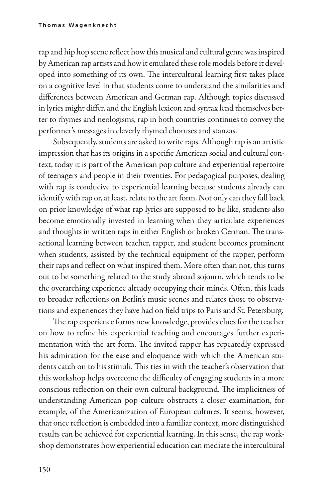rap and hip hop scene reflect how this musical and cultural genre was inspired by American rap artists and how it emulated these role models before it developed into something of its own. The intercultural learning first takes place on a cognitive level in that students come to understand the similarities and differences between American and German rap. Although topics discussed in lyrics might differ, and the English lexicon and syntax lend themselves better to rhymes and neologisms, rap in both countries continues to convey the performer's messages in cleverly rhymed choruses and stanzas.

Subsequently, students are asked to write raps. Although rap is an artistic impression that has its origins in a specific American social and cultural context, today it is part of the American pop culture and experiential repertoire of teenagers and people in their twenties. For pedagogical purposes, dealing with rap is conducive to experiential learning because students already can identify with rap or, at least, relate to the art form. Not only can they fall back on prior knowledge of what rap lyrics are supposed to be like, students also become emotionally invested in learning when they articulate experiences and thoughts in written raps in either English or broken German. The transactional learning between teacher, rapper, and student becomes prominent when students, assisted by the technical equipment of the rapper, perform their raps and reflect on what inspired them. More often than not, this turns out to be something related to the study abroad sojourn, which tends to be the overarching experience already occupying their minds. Often, this leads to broader reflections on Berlin's music scenes and relates those to observations and experiences they have had on field trips to Paris and St. Petersburg.

The rap experience forms new knowledge, provides clues for the teacher on how to refine his experiential teaching and encourages further experimentation with the art form. The invited rapper has repeatedly expressed his admiration for the ease and eloquence with which the American students catch on to his stimuli. This ties in with the teacher's observation that this workshop helps overcome the difficulty of engaging students in a more conscious reflection on their own cultural background. The implicitness of understanding American pop culture obstructs a closer examination, for example, of the Americanization of European cultures. It seems, however, that once reflection is embedded into a familiar context, more distinguished results can be achieved for experiential learning. In this sense, the rap workshop demonstrates how experiential education can mediate the intercultural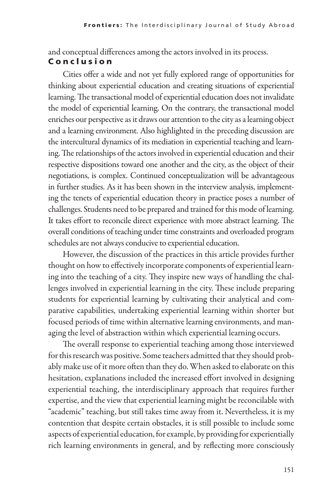and conceptual differences among the actors involved in its process.

#### C o n c l u s i o n

Cities offer a wide and not yet fully explored range of opportunities for thinking about experiential education and creating situations of experiential learning. The transactional model of experiential education does not invalidate the model of experiential learning. On the contrary, the transactional model enriches our perspective as it draws our attention to the city as a learning object and a learning environment. Also highlighted in the preceding discussion are the intercultural dynamics of its mediation in experiential teaching and learn ing. The relationships of the actors involved in experiential education and their respective dispositions toward one another and the city, as the object of their negotiations, is complex. Continued conceptualization will be advantageous in further studies. As it has been shown in the interview analysis, implement ing the tenets of experiential education theory in practice poses a number of challenges. Students need to be prepared and trained for this mode of learning. It takes effort to reconcile direct experience with more abstract learning. The overall conditions of teaching under time constraints and overloaded program schedules are not always conducive to experiential education.

However, the discussion of the practices in this article provides further thought on how to effectively incorporate components of experiential learn ing into the teaching of a city. They inspire new ways of handling the challenges involved in experiential learning in the city. These include preparing students for experiential learning by cultivating their analytical and comparative capabilities, undertaking experiential learning within shorter but focused periods of time within alternative learning environments, and managing the level of abstraction within which experiential learning occurs.

The overall response to experiential teaching among those interviewed for this research was positive. Some teachers admitted that they should probably make use of it more often than they do. When asked to elaborate on this hesitation, explanations included the increased effort involved in designing experiential teaching, the interdisciplinary approach that requires further expertise, and the view that experiential learning might be reconcilable with "academic" teaching, but still takes time away from it. Nevertheless, it is my contention that despite certain obstacles, it is still possible to include some aspects of experiential education, for example, by providing for experientially rich learning environments in general, and by reflecting more consciously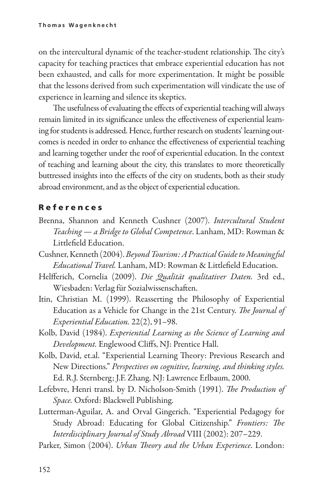on the intercultural dynamic of the teacher-student relationship. The city's capacity for teaching practices that embrace experiential education has not been exhausted, and calls for more experimentation. It might be possible that the lessons derived from such experimentation will vindicate the use of experience in learning and silence its skeptics.

The usefulness of evaluating the effects of experiential teaching will always remain limited in its significance unless the effectiveness of experiential learn ing for students is addressed. Hence, further research on students' learning outcomes is needed in order to enhance the effectiveness of experiential teaching and learning together under the roof of experiential education. In the context of teaching and learning about the city, this translates to more theoretically buttressed insights into the effects of the city on students, both as their study abroad environment, and as the object of experiential education.

#### R e f e r e n c e s

- Brenna, Shannon and Kenneth Cushner (2007). *Intercultural Student Teaching — a Bridge to Global Competence*. Lanham, MD: Rowman & Littlefield Education.
- Cushner, Kenneth (2004).*Beyond Tourism: A Practical Guide to Meaningful Educational Travel.* Lanham, MD: Rowman & Littlefield Education.
- Helfferich, Cornelia (2009). *Die Qualität qualitativer Daten.* 3rd ed., Wiesbaden: Verlag für Sozialwissenschaften.
- Itin, Christian M. (1999). Reasserting the Philosophy of Experiential Education as a Vehicle for Change in the 21st Century. *The Journal of Experiential Education.* 22(2), 91–98.
- Kolb, David (1984). *Experiential Learning as the Science of Learning and Development.* Englewood Cliffs, NJ: Prentice Hall.
- Kolb, David, et.al. "Experiential Learning Theory: Previous Research and New Directions." *Perspectives on cognitive, learning, and thinking styles.*  Ed. R.J. Sternberg; J.F. Zhang. NJ: Lawrence Erlbaum, 2000.
- Lefebvre, Henri transl. by D. Nicholson-Smith (1991). *The Production of Space.* Oxford: Blackwell Publishing.
- Lutterman-Aguilar, A. and Orval Gingerich. "Experiential Pedagogy for Study Abroad: Educating for Global Citizenship." *Frontiers: The Interdisciplinary Journal of Study Abroad* VIII (2002): 207–229.
- Parker, Simon (2004). *Urban Theory and the Urban Experience*. London: